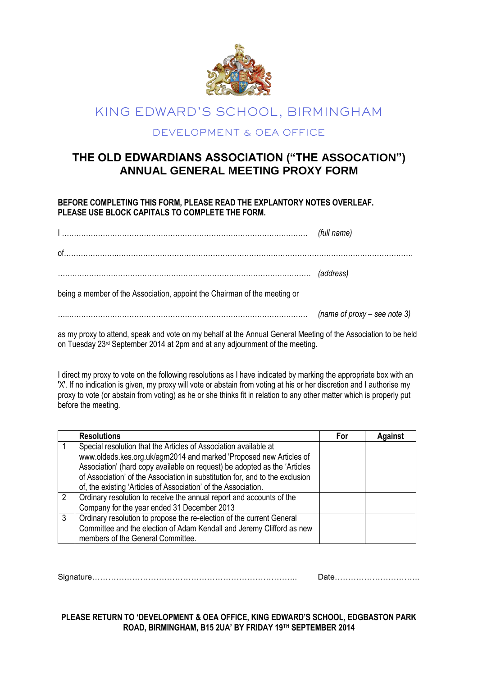

## KING EDWARD'S SCHOOL, BIRMINGHAM

## DEVELOPMENT & OEA OFFICE

## **THE OLD EDWARDIANS ASSOCIATION ("THE ASSOCATION") ANNUAL GENERAL MEETING PROXY FORM**

**BEFORE COMPLETING THIS FORM, PLEASE READ THE EXPLANTORY NOTES OVERLEAF. PLEASE USE BLOCK CAPITALS TO COMPLETE THE FORM.**

|                                                                           | (full name)                  |  |  |
|---------------------------------------------------------------------------|------------------------------|--|--|
|                                                                           |                              |  |  |
|                                                                           |                              |  |  |
| being a member of the Association, appoint the Chairman of the meeting or |                              |  |  |
|                                                                           | (name of proxy - see note 3) |  |  |

as my proxy to attend, speak and vote on my behalf at the Annual General Meeting of the Association to be held on Tuesday 23rd September 2014 at 2pm and at any adjournment of the meeting.

I direct my proxy to vote on the following resolutions as I have indicated by marking the appropriate box with an 'X'. If no indication is given, my proxy will vote or abstain from voting at his or her discretion and I authorise my proxy to vote (or abstain from voting) as he or she thinks fit in relation to any other matter which is properly put before the meeting.

|               | <b>Resolutions</b>                                                           | For | Against |
|---------------|------------------------------------------------------------------------------|-----|---------|
|               | Special resolution that the Articles of Association available at             |     |         |
|               | www.oldeds.kes.org.uk/agm2014 and marked 'Proposed new Articles of           |     |         |
|               | Association' (hard copy available on request) be adopted as the 'Articles    |     |         |
|               | of Association' of the Association in substitution for, and to the exclusion |     |         |
|               | of, the existing 'Articles of Association' of the Association.               |     |         |
| $\mathcal{P}$ | Ordinary resolution to receive the annual report and accounts of the         |     |         |
|               | Company for the year ended 31 December 2013                                  |     |         |
| 3             | Ordinary resolution to propose the re-election of the current General        |     |         |
|               | Committee and the election of Adam Kendall and Jeremy Clifford as new        |     |         |
|               | members of the General Committee.                                            |     |         |

Signature………………………………………………………………….. Date…………………………..

**PLEASE RETURN TO 'DEVELOPMENT & OEA OFFICE, KING EDWARD'S SCHOOL, EDGBASTON PARK ROAD, BIRMINGHAM, B15 2UA' BY FRIDAY 19TH SEPTEMBER 2014**